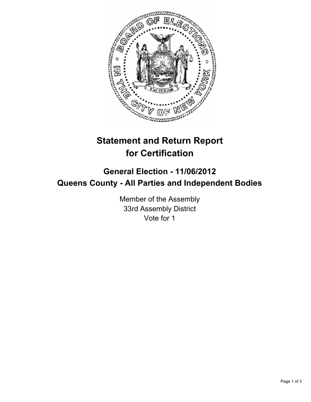

## **Statement and Return Report for Certification**

## **General Election - 11/06/2012 Queens County - All Parties and Independent Bodies**

Member of the Assembly 33rd Assembly District Vote for 1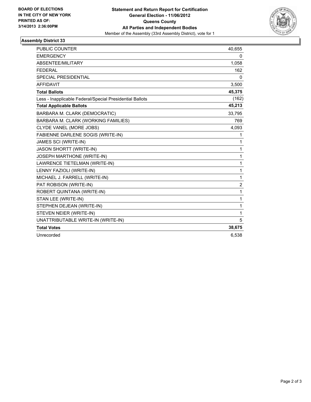

## **Assembly District 33**

| PUBLIC COUNTER                                           | 40,655         |
|----------------------------------------------------------|----------------|
| <b>EMERGENCY</b>                                         | 0              |
| ABSENTEE/MILITARY                                        | 1,058          |
| <b>FEDERAL</b>                                           | 162            |
| <b>SPECIAL PRESIDENTIAL</b>                              | 0              |
| <b>AFFIDAVIT</b>                                         | 3,500          |
| <b>Total Ballots</b>                                     | 45,375         |
| Less - Inapplicable Federal/Special Presidential Ballots | (162)          |
| <b>Total Applicable Ballots</b>                          | 45,213         |
| BARBARA M. CLARK (DEMOCRATIC)                            | 33,795         |
| BARBARA M. CLARK (WORKING FAMILIES)                      | 769            |
| CLYDE VANEL (MORE JOBS)                                  | 4,093          |
| FABIENNE DARLENE SOGIS (WRITE-IN)                        | 1              |
| JAMES SCI (WRITE-IN)                                     | 1              |
| <b>JASON SHORTT (WRITE-IN)</b>                           | 1              |
| JOSEPH MARTHONE (WRITE-IN)                               | $\mathbf{1}$   |
| LAWRENCE TIETELMAN (WRITE-IN)                            | $\mathbf{1}$   |
| LENNY FAZIOLI (WRITE-IN)                                 | 1              |
| MICHAEL J. FARRELL (WRITE-IN)                            | 1              |
| PAT ROBISON (WRITE-IN)                                   | $\overline{2}$ |
| ROBERT QUINTANA (WRITE-IN)                               | 1              |
| STAN LEE (WRITE-IN)                                      | 1              |
| STEPHEN DEJEAN (WRITE-IN)                                | $\mathbf{1}$   |
| STEVEN NEIER (WRITE-IN)                                  | $\mathbf{1}$   |
| UNATTRIBUTABLE WRITE-IN (WRITE-IN)                       | 5              |
| <b>Total Votes</b>                                       | 38,675         |
| Unrecorded                                               | 6.538          |